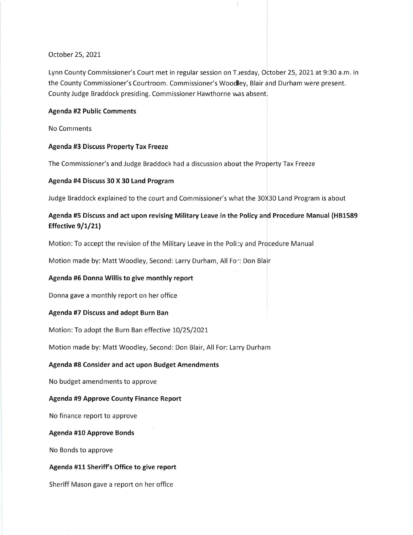## October 25,2021

Lynn County Commissioner's Court met in regular session on Tuesday, October 25, 2021 at 9:30 a.m. in the County Commissioner's Courtroom. Commissioner's Woodley, Blair and Durham were present. County Judge Braddock presiding. Commissioner Hawthorne was absent.

# Agenda #2 Public Comments

No Comments

# Agenda #3 Discuss Property Tax Freeze

The Commissioner's and Judge Braddock had a discussion about the Property Tax Freeze

# Agenda #4 Discuss 30 X 30 Land Program

Judge Braddock explained to the court and Commissioner's what the 30X30 Land Program is about

# Agenda #5 Discuss and act upon revising Military Leave in the Policy and Procedure Manual (H81589 Effective  $9/1/21$

Motion:To accept the revision of the Military Leave in the Poli:y and Procedure Manual

Motion made by: Matt Woodley, Second: Larry Durham, All Fo": Don Blair

# Agenda #5 Donna Willis to give monthly report

Donna gave a monthly report on her office

#### Agenda #7 Discuss and adopt Burn Ban

Motion: To adopt the Burn Ban effective 10/25/2021

Motion made by: Matt Woodley, Second: Don Blair, All For: Larry Durham

# Agenda #8 Consider and act upon Budget Amendments

No budget amendments to approve

# Agenda #9 Approve County Finance Report

No finance report to approve

#### Agenda #10 Approve Bonds

No Bonds to approve

#### Agenda #11 Sheriff's Office to give report

Sheriff Mason gave a report on her office